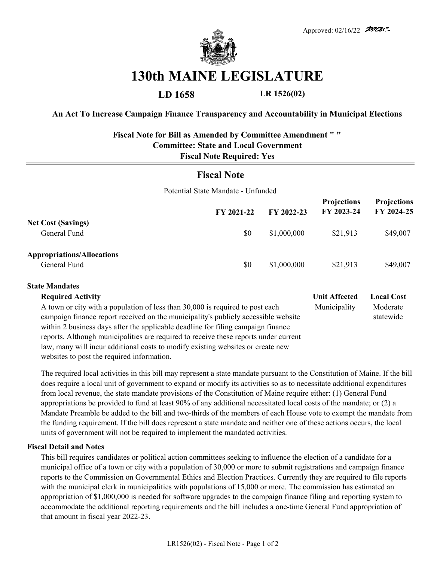

# **130th MAINE LEGISLATURE**

**LD 1658 LR 1526(02)**

### **An Act To Increase Campaign Finance Transparency and Accountability in Municipal Elections**

## **Fiscal Note for Bill as Amended by Committee Amendment " " Committee: State and Local Government Fiscal Note Required: Yes**

## **Fiscal Note**

Potential State Mandate - Unfunded

|                                                   | FY 2021-22 | FY 2022-23  | <b>Projections</b><br>FY 2023-24 | <b>Projections</b><br>FY 2024-25 |
|---------------------------------------------------|------------|-------------|----------------------------------|----------------------------------|
| <b>Net Cost (Savings)</b><br>General Fund         | \$0        | \$1,000,000 | \$21,913                         | \$49,007                         |
| <b>Appropriations/Allocations</b><br>General Fund | \$0        | \$1,000,000 | \$21,913                         | \$49,007                         |

#### **State Mandates**

| <b>Required Activity</b>                                                             | <b>Unit Affected</b> | <b>Local Cost</b> |
|--------------------------------------------------------------------------------------|----------------------|-------------------|
| A town or city with a population of less than 30,000 is required to post each        | Municipality         | Moderate          |
| campaign finance report received on the municipality's publicly accessible website   |                      | statewide         |
| within 2 business days after the applicable deadline for filing campaign finance     |                      |                   |
| reports. Although municipalities are required to receive these reports under current |                      |                   |
| law, many will incur additional costs to modify existing websites or create new      |                      |                   |
| websites to post the required information.                                           |                      |                   |

The required local activities in this bill may represent a state mandate pursuant to the Constitution of Maine. If the bill does require a local unit of government to expand or modify its activities so as to necessitate additional expenditures from local revenue, the state mandate provisions of the Constitution of Maine require either: (1) General Fund appropriations be provided to fund at least 90% of any additional necessitated local costs of the mandate; or (2) a Mandate Preamble be added to the bill and two-thirds of the members of each House vote to exempt the mandate from the funding requirement. If the bill does represent a state mandate and neither one of these actions occurs, the local units of government will not be required to implement the mandated activities.

#### **Fiscal Detail and Notes**

This bill requires candidates or political action committees seeking to influence the election of a candidate for a municipal office of a town or city with a population of 30,000 or more to submit registrations and campaign finance reports to the Commission on Governmental Ethics and Election Practices. Currently they are required to file reports with the municipal clerk in municipalities with populations of 15,000 or more. The commission has estimated an appropriation of \$1,000,000 is needed for software upgrades to the campaign finance filing and reporting system to accommodate the additional reporting requirements and the bill includes a one-time General Fund appropriation of that amount in fiscal year 2022-23.